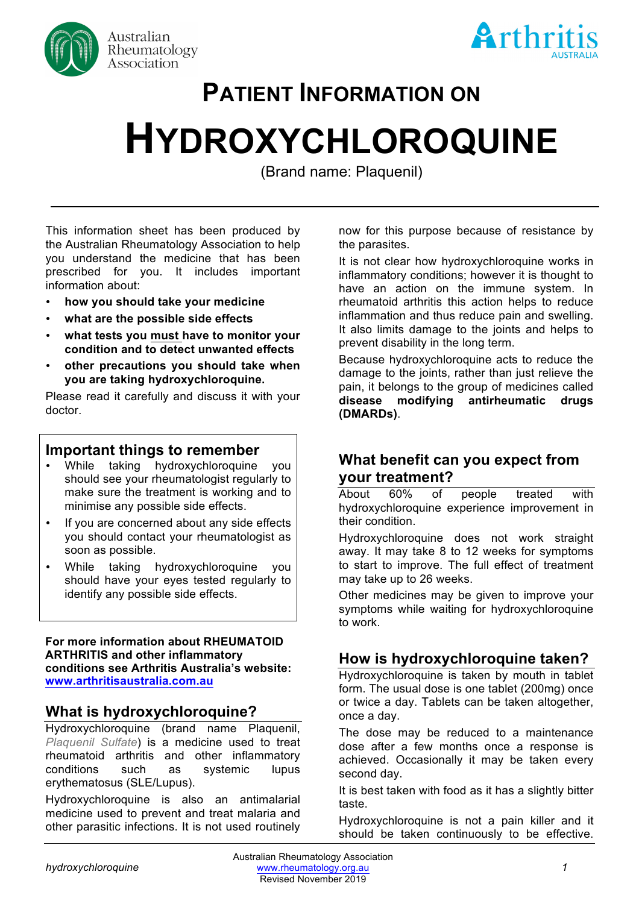



# **PATIENT INFORMATION ON**

# **HYDROXYCHLOROQUINE**

(Brand name: Plaquenil)

This information sheet has been produced by the Australian Rheumatology Association to help you understand the medicine that has been prescribed for you. It includes important information about:

- **how you should take your medicine**
- **what are the possible side effects**
- **what tests you must have to monitor your condition and to detect unwanted effects**
- **other precautions you should take when you are taking hydroxychloroquine.**

Please read it carefully and discuss it with your doctor.

### **Important things to remember**

- While taking hydroxychloroquine you should see your rheumatologist regularly to make sure the treatment is working and to minimise any possible side effects.
- If you are concerned about any side effects you should contact your rheumatologist as soon as possible.
- While taking hydroxychloroquine you should have your eyes tested regularly to identify any possible side effects.

**For more information about RHEUMATOID ARTHRITIS and other inflammatory conditions see Arthritis Australia's website: www.arthritisaustralia.com.au**

# **What is hydroxychloroquine?**

Hydroxychloroquine (brand name Plaquenil, *Plaquenil Sulfate*) is a medicine used to treat rheumatoid arthritis and other inflammatory conditions such as systemic lupus erythematosus (SLE/Lupus).

Hydroxychloroquine is also an antimalarial medicine used to prevent and treat malaria and other parasitic infections. It is not used routinely

now for this purpose because of resistance by the parasites. **(Brand name: Plaquenil)**

> It is not clear how hydroxychloroquine works in inflammatory conditions; however it is thought to have an action on the immune system. In rheumatoid arthritis this action helps to reduce inflammation and thus reduce pain and swelling. It also limits damage to the joints and helps to prevent disability in the long term.

> Because hydroxychloroquine acts to reduce the damage to the joints, rather than just relieve the pain, it belongs to the group of medicines called **disease modifying antirheumatic drugs (DMARDs)**.

# **What benefit can you expect from your treatment?**

About 60% of people treated with hydroxychloroquine experience improvement in their condition.

Hydroxychloroquine does not work straight away. It may take 8 to 12 weeks for symptoms to start to improve. The full effect of treatment may take up to 26 weeks.

Other medicines may be given to improve your symptoms while waiting for hydroxychloroquine to work.

# **How is hydroxychloroquine taken?**

Hydroxychloroquine is taken by mouth in tablet form. The usual dose is one tablet (200mg) once or twice a day. Tablets can be taken altogether, once a day.

The dose may be reduced to a maintenance dose after a few months once a response is achieved. Occasionally it may be taken every second day.

It is best taken with food as it has a slightly bitter taste.

Hydroxychloroquine is not a pain killer and it should be taken continuously to be effective.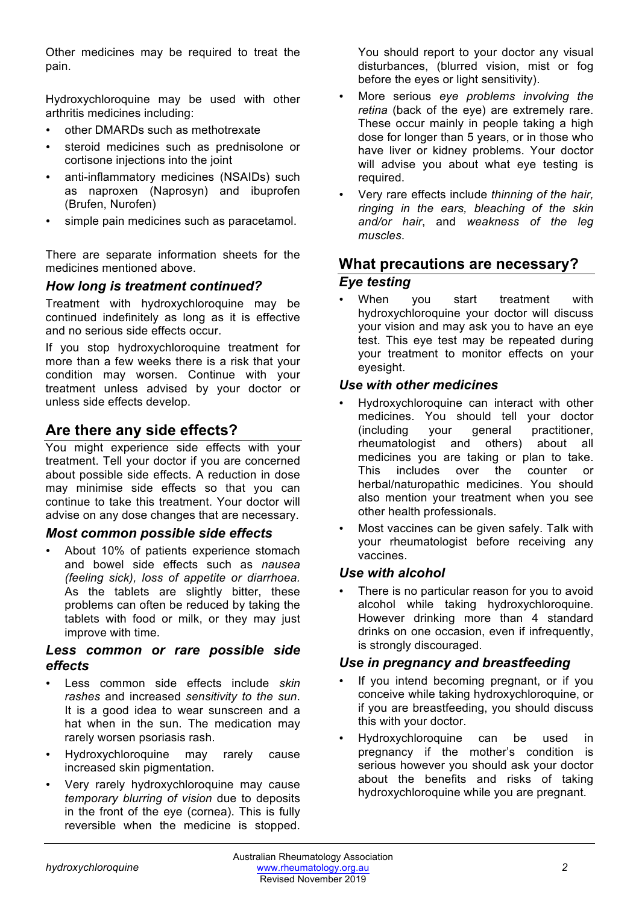Other medicines may be required to treat the pain.

Hydroxychloroquine may be used with other arthritis medicines including:

- other DMARDs such as methotrexate
- steroid medicines such as prednisolone or cortisone injections into the joint
- anti-inflammatory medicines (NSAIDs) such as naproxen (Naprosyn) and ibuprofen (Brufen, Nurofen)
- simple pain medicines such as paracetamol.

There are separate information sheets for the medicines mentioned above.

#### *How long is treatment continued?*

Treatment with hydroxychloroquine may be continued indefinitely as long as it is effective and no serious side effects occur.

If you stop hydroxychloroquine treatment for more than a few weeks there is a risk that your condition may worsen. Continue with your treatment unless advised by your doctor or unless side effects develop.

# **Are there any side effects?**

You might experience side effects with your treatment. Tell your doctor if you are concerned about possible side effects. A reduction in dose may minimise side effects so that you can continue to take this treatment. Your doctor will advise on any dose changes that are necessary.

#### *Most common possible side effects*

• About 10% of patients experience stomach and bowel side effects such as *nausea (feeling sick), loss of appetite or diarrhoea.* As the tablets are slightly bitter, these problems can often be reduced by taking the tablets with food or milk, or they may just improve with time.

#### *Less common or rare possible side effects*

- Less common side effects include *skin rashes* and increased *sensitivity to the sun*. It is a good idea to wear sunscreen and a hat when in the sun. The medication may rarely worsen psoriasis rash.
- Hydroxychloroquine may rarely cause increased skin pigmentation.
- Very rarely hydroxychloroquine may cause *temporary blurring of vision* due to deposits in the front of the eye (cornea). This is fully reversible when the medicine is stopped.

You should report to your doctor any visual disturbances, (blurred vision, mist or fog before the eyes or light sensitivity).

- More serious *eye problems involving the retina* (back of the eye) are extremely rare. These occur mainly in people taking a high dose for longer than 5 years, or in those who have liver or kidney problems. Your doctor will advise you about what eye testing is required.
- Very rare effects include *thinning of the hair, ringing in the ears, bleaching of the skin and/or hair*, and *weakness of the leg muscles*.

## **What precautions are necessary?** *Eye testing*

When you start treatment with hydroxychloroquine your doctor will discuss your vision and may ask you to have an eye test. This eye test may be repeated during your treatment to monitor effects on your eyesight.

#### *Use with other medicines*

- Hydroxychloroquine can interact with other medicines. You should tell your doctor (including your general practitioner, rheumatologist and others) about all medicines you are taking or plan to take. This includes over the counter or herbal/naturopathic medicines. You should also mention your treatment when you see other health professionals.
- Most vaccines can be given safely. Talk with your rheumatologist before receiving any vaccines.

#### *Use with alcohol*

There is no particular reason for you to avoid alcohol while taking hydroxychloroquine. However drinking more than 4 standard drinks on one occasion, even if infrequently, is strongly discouraged.

#### *Use in pregnancy and breastfeeding*

- If you intend becoming pregnant, or if you conceive while taking hydroxychloroquine, or if you are breastfeeding, you should discuss this with your doctor.
- Hydroxychloroquine can be used in pregnancy if the mother's condition is serious however you should ask your doctor about the benefits and risks of taking hydroxychloroquine while you are pregnant.